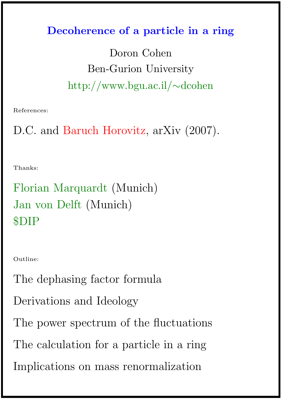## Decoherence of a particle in a ring

## Doron Cohen Ben-Gurion University http://www.bgu.ac.il/∼dcohen

References:

D.C. and Baruch Horovitz, arXiv (2007).

Thanks:

# Florian Marquardt (Munich) Jan von Delft (Munich) \$DIP

Outline:

The dephasing factor formula Derivations and Ideology The power spectrum of the fluctuations The calculation for a particle in a ring Implications on mass renormalization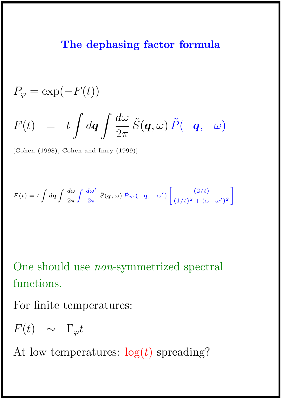#### The dephasing factor formula

$$
P_{\varphi} = \exp(-F(t))
$$
  

$$
F(t) = t \int d\mathbf{q} \int \frac{d\omega}{2\pi} \tilde{S}(\mathbf{q}, \omega) \tilde{P}(-\mathbf{q}, -\omega)
$$

[Cohen (1998), Cohen and Imry (1999)]

$$
F(t) = t \int d\mathbf{q} \int \frac{d\omega}{2\pi} \int \frac{d\omega'}{2\pi} \tilde{S}(\mathbf{q}, \omega) \tilde{P}_{\infty}(-\mathbf{q}, -\omega') \left[ \frac{(2/t)}{(1/t)^2 + (\omega - \omega')^2} \right]
$$

One should use non-symmetrized spectral functions.

For finite temperatures:

 $F(t) \sim \Gamma_{\varphi}t$ 

At low temperatures:  $log(t)$  spreading?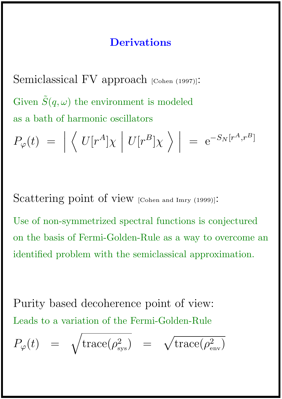#### **Derivations**

Semiclassical FV approach [Cohen (1997)]: Given  $\tilde{S}(q,\omega)$  the environment is modeled as a bath of harmonic oscillators

$$
P_{\varphi}(t) = \left| \left\langle U[r^{A}]\chi \middle| U[r^{B}]\chi \right\rangle \right| = e^{-S_{N}[r^{A},r^{B}]}
$$

Scattering point of view [Cohen and Imry (1999)]:

Use of non-symmetrized spectral functions is conjectured on the basis of Fermi-Golden-Rule as a way to overcome an identified problem with the semiclassical approximation.

Purity based decoherence point of view: Leads to a variation of the Fermi-Golden-Rule

$$
P_{\varphi}(t) = \sqrt{\text{trace}(\rho_{\text{sys}}^2)} = \sqrt{\text{trace}(\rho_{\text{env}}^2)}
$$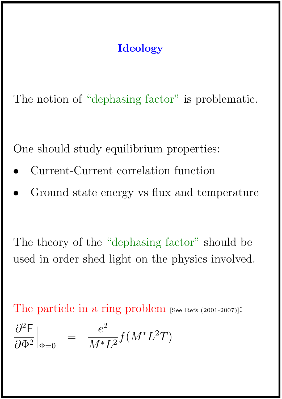## **Ideology**

The notion of "dephasing factor" is problematic.

One should study equilibrium properties:

- Current-Current correlation function
- Ground state energy vs flux and temperature

The theory of the "dephasing factor" should be used in order shed light on the physics involved.

The particle in a ring problem [See Refs (2001-2007)]:  $\partial^2 \mathsf{F}$  $\partial\Phi^2$  $\begin{matrix} \phantom{-} \end{matrix}$  $\begin{array}{c} \hline \end{array}$  $|\Phi=0$ =  $e^2$  $M^*L^2$  $f(M^*L^2T)$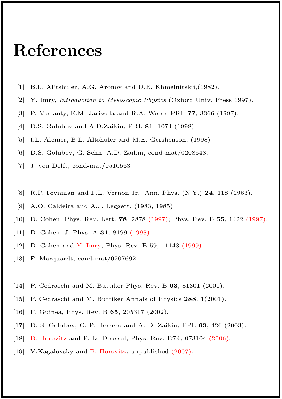# References

- [1] B.L. Al'tshuler, A.G. Aronov and D.E. Khmelnitskii,(1982).
- [2] Y. Imry, *Introduction to Mesoscopic Physics* (Oxford Univ. Press 1997).
- [3] P. Mohanty, E.M. Jariwala and R.A. Webb, PRL 77, 3366 (1997).
- [4] D.S. Golubev and A.D.Zaikin, PRL 81, 1074 (1998)
- [5] I.L. Aleiner, B.L. Altshuler and M.E. Gershenson, (1998)
- [6] D.S. Golubev, G. Schn, A.D. Zaikin, cond-mat/0208548.
- [7] J. von Delft, cond-mat/0510563
- [8] R.P. Feynman and F.L. Vernon Jr., Ann. Phys. (N.Y.) 24, 118 (1963).
- [9] A.O. Caldeira and A.J. Leggett, (1983, 1985)
- [10] D. Cohen, Phys. Rev. Lett. 78, 2878 (1997); Phys. Rev. E 55, 1422 (1997).
- [11] D. Cohen, J. Phys. A **31**, 8199 (1998).
- [12] D. Cohen and Y. Imry, Phys. Rev. B 59, 11143 (1999).
- [13] F. Marquardt, cond-mat/0207692.
- [14] P. Cedraschi and M. Buttiker Phys. Rev. B **63**, 81301 (2001).
- [15] P. Cedraschi and M. Buttiker Annals of Physics 288, 1(2001).
- [16] F. Guinea, Phys. Rev. B **65**, 205317 (2002).
- [17] D. S. Golubev, C. P. Herrero and A. D. Zaikin, EPL 63, 426 (2003).
- [18] B. Horovitz and P. Le Doussal, Phys. Rev. B74, 073104 (2006).
- [19] V.Kagalovsky and B. Horovitz, unpublished  $(2007)$ .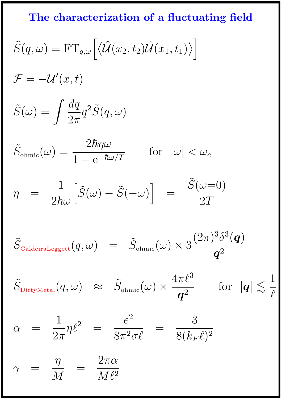The characterization of a fluctuating field

$$
\tilde{S}(q,\omega) = FT_{q,\omega} \Big[ \langle \hat{\mathcal{U}}(x_2, t_2) \hat{\mathcal{U}}(x_1, t_1) \rangle \Big]
$$
\n
$$
\mathcal{F} = -\mathcal{U}'(x, t)
$$
\n
$$
\tilde{S}(\omega) = \int \frac{dq}{2\pi} q^2 \tilde{S}(q, \omega)
$$
\n
$$
\tilde{S}_{\text{ohmic}}(\omega) = \frac{2\hbar \eta \omega}{1 - e^{-\hbar \omega/T}} \qquad \text{for} \quad |\omega| < \omega_c
$$
\n
$$
\eta = \frac{1}{2\hbar \omega} \Big[ \tilde{S}(\omega) - \tilde{S}(-\omega) \Big] = \frac{\tilde{S}(\omega = 0)}{2T}
$$
\n
$$
\tilde{S}_{\text{CaldeiraLeggett}}(q, \omega) = \tilde{S}_{\text{ohmic}}(\omega) \times 3 \frac{(2\pi)^3 \delta^3(q)}{q^2}
$$
\n
$$
\tilde{S}_{\text{DirtyMetal}}(q, \omega) \approx \tilde{S}_{\text{ohmic}}(\omega) \times \frac{4\pi \ell^3}{q^2} \qquad \text{for} \quad |q| \lesssim \frac{1}{\ell}
$$
\n
$$
\alpha = \frac{1}{2\pi} \eta \ell^2 = \frac{e^2}{8\pi^2 \sigma \ell} = \frac{3}{8(k_F \ell)^2}
$$
\n
$$
\gamma = \frac{\eta}{M} = \frac{2\pi \alpha}{M\ell^2}
$$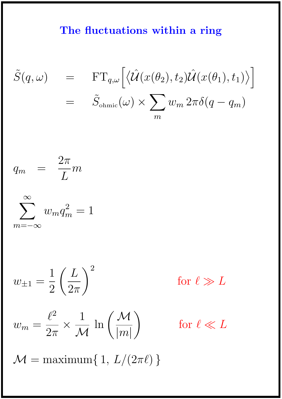### The fluctuations within a ring

$$
\tilde{S}(q,\omega) = \mathbf{FT}_{q,\omega} \Big[ \langle \hat{\mathcal{U}}(x(\theta_2), t_2) \hat{\mathcal{U}}(x(\theta_1), t_1) \rangle \Big] \n= \tilde{S}_{\text{ohmic}}(\omega) \times \sum_m w_m 2\pi \delta(q - q_m)
$$

$$
q_m = \frac{2\pi}{L}m
$$

$$
\sum_{m=-\infty}^{\infty} w_m q_m^2 = 1
$$

$$
w_{\pm 1} = \frac{1}{2} \left(\frac{L}{2\pi}\right)^2 \qquad \text{for } \ell \gg L
$$

$$
w_m = \frac{\ell^2}{2\pi} \times \frac{1}{\mathcal{M}} \ln\left(\frac{\mathcal{M}}{|m|}\right)
$$

for  $\ell \ll L$ 

 $\mathcal{M} = \text{maximum} \{ 1, L/(2\pi\ell) \}$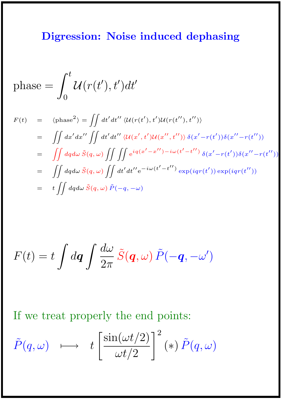## Digression: Noise induced dephasing

$$
phase = \int_0^t \mathcal{U}(r(t'), t')dt'
$$

$$
F(t) = \langle \text{phase}^2 \rangle = \iint dt' dt'' \langle \mathcal{U}(r(t'), t') \mathcal{U}(r(t''), t'') \rangle
$$
  
\n
$$
= \iint dx' dx'' \iint dt' dt'' \langle \mathcal{U}(x', t') \mathcal{U}(x'', t'') \rangle \delta(x' - r(t')) \delta(x'' - r(t''))
$$
  
\n
$$
= \iint dq d\omega \tilde{S}(q, \omega) \iint \iint e^{iq(x' - x'') - i\omega(t' - t'')} \delta(x' - r(t')) \delta(x'' - r(t''))
$$
  
\n
$$
= \iint dq d\omega \tilde{S}(q, \omega) \iint dt' dt'' e^{-i\omega(t' - t'')} \exp(iqr(t')) \exp(iqr(t''))
$$
  
\n
$$
= t \iint dq d\omega \tilde{S}(q, \omega) \tilde{P}(-q, -\omega)
$$

$$
F(t) = t \int d\mathbf{q} \int \frac{d\omega}{2\pi} \tilde{S}(\mathbf{q}, \omega) \tilde{P}(-\mathbf{q}, -\omega')
$$

If we treat properly the end points:

$$
\tilde{P}(q,\omega) \longrightarrow t \left[ \frac{\sin(\omega t/2)}{\omega t/2} \right]^2 (*) \tilde{P}(q,\omega)
$$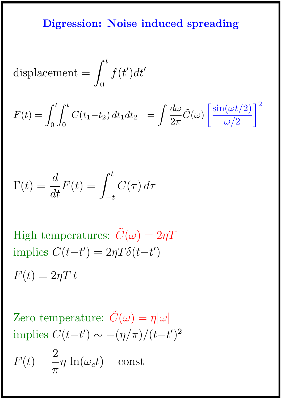#### Digression: Noise induced spreading

$$
displacement = \int_0^t f(t')dt'
$$

$$
F(t) = \int_0^t \int_0^t C(t_1 - t_2) dt_1 dt_2 = \int \frac{d\omega}{2\pi} \tilde{C}(\omega) \left[ \frac{\sin(\omega t/2)}{\omega/2} \right]^2
$$

$$
\Gamma(t) = \frac{d}{dt}F(t) = \int_{-t}^{t} C(\tau) d\tau
$$

High temperatures:  $\tilde{C}(\omega) = 2\eta T$ implies  $C(t-t') = 2\eta T\delta(t-t')$ 

 $F(t) = 2\eta T t$ 

Zero temperature:  $\tilde{C}(\omega) = \eta |\omega|$ implies  $C(t-t') \sim -(\eta/\pi)/(t-t')^2$ 

$$
F(t) = \frac{2}{\pi} \eta \, \ln(\omega_c t) + \text{const}
$$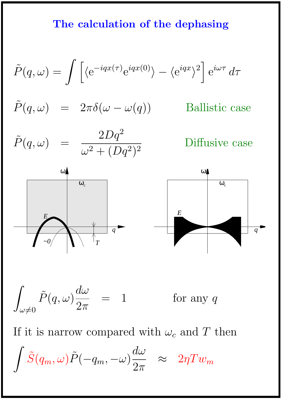### The calculation of the dephasing

$$
\tilde{P}(q,\omega) = \int \left[ \langle e^{-iqx(\tau)} e^{iqx(0)} \rangle - \langle e^{iqx} \rangle^2 \right] e^{i\omega \tau} d\tau
$$
  

$$
\tilde{P}(q,\omega) = 2\pi \delta(\omega - \omega(q))
$$
 Ballistic case

$$
\tilde{P}(q,\omega) = \frac{2Dq^2}{\omega^2 + (Dq^2)^2}
$$

Diffusive case



$$
\int_{\omega \neq 0} \tilde{P}(q, \omega) \frac{d\omega}{2\pi} = 1 \quad \text{for any } q
$$

If it is narrow compared with  $\omega_c$  and T then

$$
\int \tilde{S}(q_m, \omega) \tilde{P}(-q_m, -\omega) \frac{d\omega}{2\pi} \approx 2\eta T w_m
$$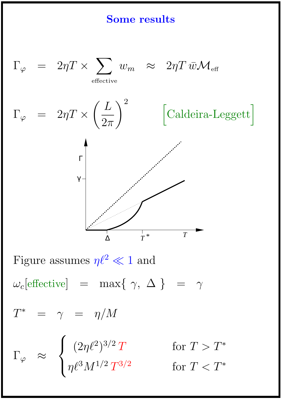#### Some results

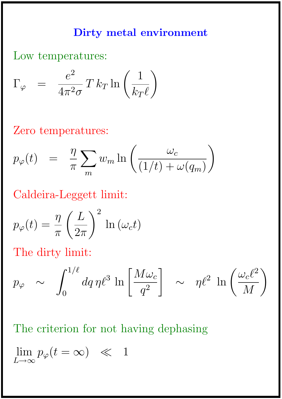#### Dirty metal environment

Low temperatures:

$$
\Gamma_{\varphi} = \frac{e^2}{4\pi^2 \sigma} T k_T \ln\left(\frac{1}{k_T \ell}\right)
$$

## Zero temperatures:

$$
p_{\varphi}(t) = \frac{\eta}{\pi} \sum_{m} w_{m} \ln \left( \frac{\omega_{c}}{(1/t) + \omega(q_{m})} \right)
$$

Caldeira-Leggett limit:

$$
p_{\varphi}(t) = \frac{\eta}{\pi} \left(\frac{L}{2\pi}\right)^2 \ln(\omega_c t)
$$

The dirty limit:

$$
p_{\varphi} \sim \int_0^{1/\ell} dq \,\eta \ell^3 \, \ln \left[ \frac{M\omega_c}{q^2} \right] \sim \eta \ell^2 \, \ln \left( \frac{\omega_c \ell^2}{M} \right)
$$

The criterion for not having dephasing

$$
\lim_{L \to \infty} p_{\varphi}(t = \infty) \quad \ll \quad 1
$$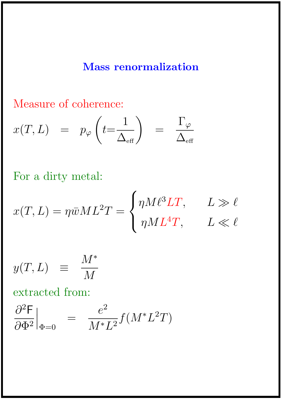#### Mass renormalization

Measure of coherence:

$$
x(T, L) = p_{\varphi} \left( t = \frac{1}{\Delta_{\text{eff}}} \right) = \frac{\Gamma_{\varphi}}{\Delta_{\text{eff}}}
$$

For a dirty metal:

$$
x(T, L) = \eta \overline{w} M L^2 T = \begin{cases} \eta M \ell^3 L T, & L \gg \ell \\ \eta M L^4 T, & L \ll \ell \end{cases}
$$

$$
y(T, L) \quad \equiv \quad \frac{M^*}{M}
$$

extracted from:

$$
\frac{\partial^2 \mathsf{F}}{\partial \Phi^2}\Big|_{\Phi=0} = \frac{e^2}{M^* L^2} f(M^* L^2 T)
$$